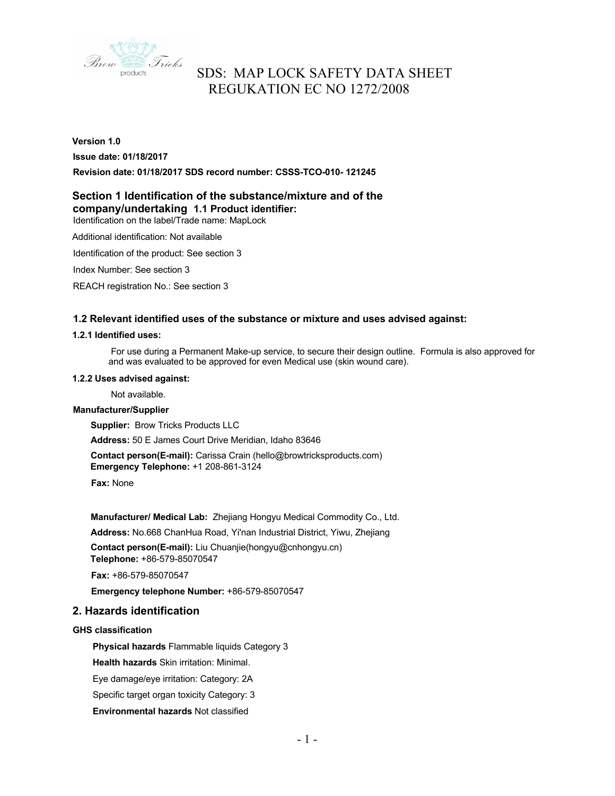

# **Version 1.0**

#### **Issue date: 01/18/2017**

**Revision date: 01/18/2017 SDS record number: CSSS-TCO-010- 121245** 

## **Section 1 Identification of the substance/mixture and of the company/undertaking 1.1 Product identifier:**

Identification on the label/Trade name: MapLock

Additional identification: Not available

Identification of the product: See section 3

Index Number: See section 3

REACH registration No.: See section 3

## **1.2 Relevant identified uses of the substance or mixture and uses advised against:**

#### **1.2.1 Identified uses:**

For use during a Permanent Make-up service, to secure their design outline. Formula is also approved for and was evaluated to be approved for even Medical use (skin wound care).

#### **1.2.2 Uses advised against:**

Not available.

#### **Manufacturer/Supplier**

**Supplier:** Brow Tricks Products LLC

**Address:** 50 E James Court Drive Meridian, Idaho 83646

**Contact person(E-mail):** Carissa Crain (hello@browtricksproducts.com)

**Emergency Telephone:** +1 208-861-3124

**Fax:** None

**Manufacturer/ Medical Lab:** Zhejiang Hongyu Medical Commodity Co., Ltd.

**Address:** No.668 ChanHua Road, Yi'nan Industrial District, Yiwu, Zhejiang

**Contact person(E-mail):** Liu Chuanjie(hongyu@cnhongyu.cn) **Telephone:** +86-579-85070547

**Fax:** +86-579-85070547

**Emergency telephone Number:** +86-579-85070547

## **2. Hazards identification**

### **GHS classification**

**Physical hazards** Flammable liquids Category 3

**Health hazards** Skin irritation: Minimal.

Eye damage/eye irritation: Category: 2A

Specific target organ toxicity Category: 3

**Environmental hazards** Not classified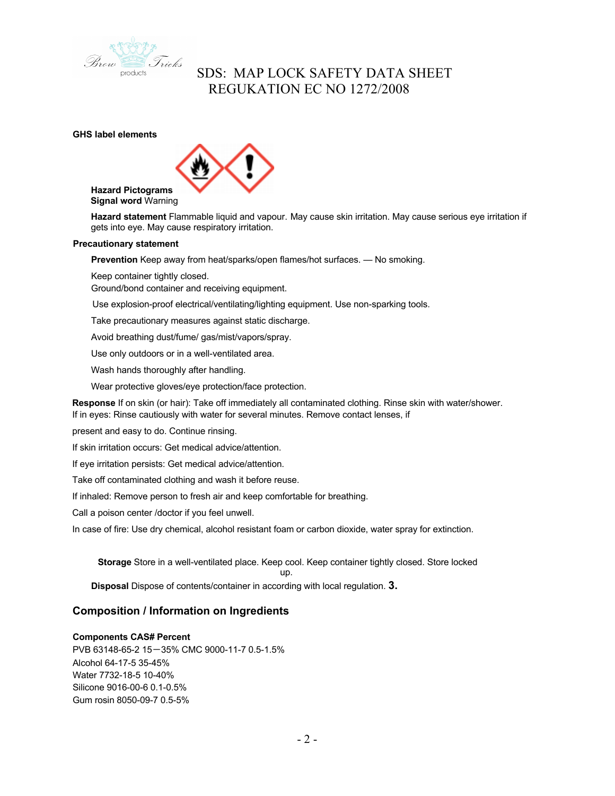

**GHS label elements**



**Hazard Pictograms Signal word** Warning

**Hazard statement** Flammable liquid and vapour. May cause skin irritation. May cause serious eye irritation if gets into eye. May cause respiratory irritation.

#### **Precautionary statement**

**Prevention** Keep away from heat/sparks/open flames/hot surfaces. — No smoking.

Keep container tightly closed.

Ground/bond container and receiving equipment.

Use explosion-proof electrical/ventilating/lighting equipment. Use non-sparking tools.

Take precautionary measures against static discharge.

Avoid breathing dust/fume/ gas/mist/vapors/spray.

Use only outdoors or in a well-ventilated area.

Wash hands thoroughly after handling.

Wear protective gloves/eye protection/face protection.

**Response** If on skin (or hair): Take off immediately all contaminated clothing. Rinse skin with water/shower. If in eyes: Rinse cautiously with water for several minutes. Remove contact lenses, if

present and easy to do. Continue rinsing.

If skin irritation occurs: Get medical advice/attention.

If eye irritation persists: Get medical advice/attention.

Take off contaminated clothing and wash it before reuse.

If inhaled: Remove person to fresh air and keep comfortable for breathing.

Call a poison center /doctor if you feel unwell.

In case of fire: Use dry chemical, alcohol resistant foam or carbon dioxide, water spray for extinction.

**Storage** Store in a well-ventilated place. Keep cool. Keep container tightly closed. Store locked

up.

**Disposal** Dispose of contents/container in according with local regulation. **3.** 

## **Composition / Information on Ingredients**

## **Components CAS# Percent**

PVB 63148-65-2 15-35% CMC 9000-11-7 0.5-1.5% Alcohol 64-17-5 35-45% Water 7732-18-5 10-40% Silicone 9016-00-6 0.1-0.5% Gum rosin 8050-09-7 0.5-5%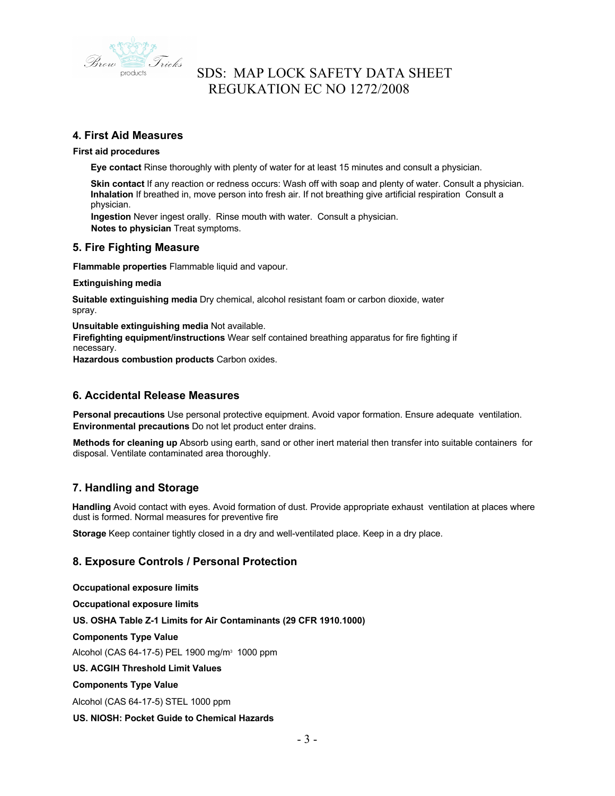

## **4. First Aid Measures**

#### **First aid procedures**

**Eye contact** Rinse thoroughly with plenty of water for at least 15 minutes and consult a physician.

**Skin contact** If any reaction or redness occurs: Wash off with soap and plenty of water. Consult a physician. **Inhalation** If breathed in, move person into fresh air. If not breathing give artificial respiration Consult a physician.

**Ingestion** Never ingest orally. Rinse mouth with water. Consult a physician. **Notes to physician** Treat symptoms.

## **5. Fire Fighting Measure**

**Flammable properties** Flammable liquid and vapour.

**Extinguishing media**

**Suitable extinguishing media** Dry chemical, alcohol resistant foam or carbon dioxide, water spray.

**Unsuitable extinguishing media** Not available.

**Firefighting equipment/instructions** Wear self contained breathing apparatus for fire fighting if necessary.

**Hazardous combustion products** Carbon oxides.

## **6. Accidental Release Measures**

**Personal precautions** Use personal protective equipment. Avoid vapor formation. Ensure adequate ventilation. **Environmental precautions** Do not let product enter drains.

**Methods for cleaning up** Absorb using earth, sand or other inert material then transfer into suitable containers for disposal. Ventilate contaminated area thoroughly.

## **7. Handling and Storage**

**Handling** Avoid contact with eyes. Avoid formation of dust. Provide appropriate exhaust ventilation at places where dust is formed. Normal measures for preventive fire

**Storage** Keep container tightly closed in a dry and well-ventilated place. Keep in a dry place.

## **8. Exposure Controls / Personal Protection**

**Occupational exposure limits Occupational exposure limits US. OSHA Table Z-1 Limits for Air Contaminants (29 CFR 1910.1000) Components Type Value** Alcohol (CAS 64-17-5) PEL 1900 mg/m3 1000 ppm **US. ACGIH Threshold Limit Values Components Type Value** Alcohol (CAS 64-17-5) STEL 1000 ppm **US. NIOSH: Pocket Guide to Chemical Hazards**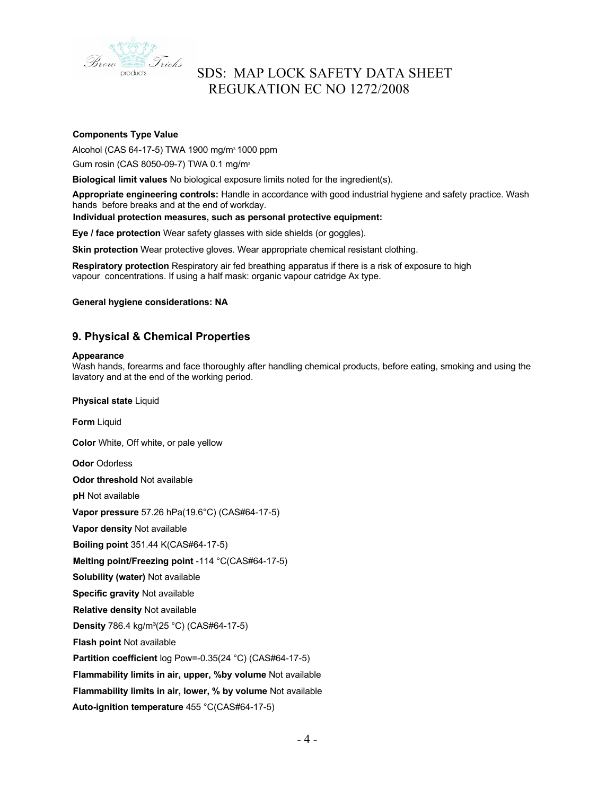

### **Components Type Value**

Alcohol (CAS 64-17-5) TWA 1900 mg/m3 1000 ppm

Gum rosin (CAS 8050-09-7) TWA 0.1 mg/m3

**Biological limit values** No biological exposure limits noted for the ingredient(s).

**Appropriate engineering controls:** Handle in accordance with good industrial hygiene and safety practice. Wash hands before breaks and at the end of workday.

#### **Individual protection measures, such as personal protective equipment:**

**Eye / face protection** Wear safety glasses with side shields (or goggles).

**Skin protection** Wear protective gloves. Wear appropriate chemical resistant clothing.

**Respiratory protection** Respiratory air fed breathing apparatus if there is a risk of exposure to high vapour concentrations. If using a half mask: organic vapour catridge Ax type.

**General hygiene considerations: NA**

## **9. Physical & Chemical Properties**

#### **Appearance**

Wash hands, forearms and face thoroughly after handling chemical products, before eating, smoking and using the lavatory and at the end of the working period.

**Physical state** Liquid

**Form** Liquid

**Color** White, Off white, or pale yellow

**Odor** Odorless

**Odor threshold** Not available

**pH** Not available

**Vapor pressure** 57.26 hPa(19.6°C) (CAS#64-17-5)

**Vapor density** Not available

**Boiling point** 351.44 K(CAS#64-17-5)

**Melting point/Freezing point** -114 °C(CAS#64-17-5)

**Solubility (water)** Not available

**Specific gravity** Not available

**Relative density** Not available

**Density** 786.4 kg/m<sup>3</sup>(25 °C) (CAS#64-17-5)

**Flash point** Not available

**Partition coefficient** log Pow=-0.35(24 °C) (CAS#64-17-5)

**Flammability limits in air, upper, %by volume** Not available

**Flammability limits in air, lower, % by volume** Not available

**Auto-ignition temperature** 455 °C(CAS#64-17-5)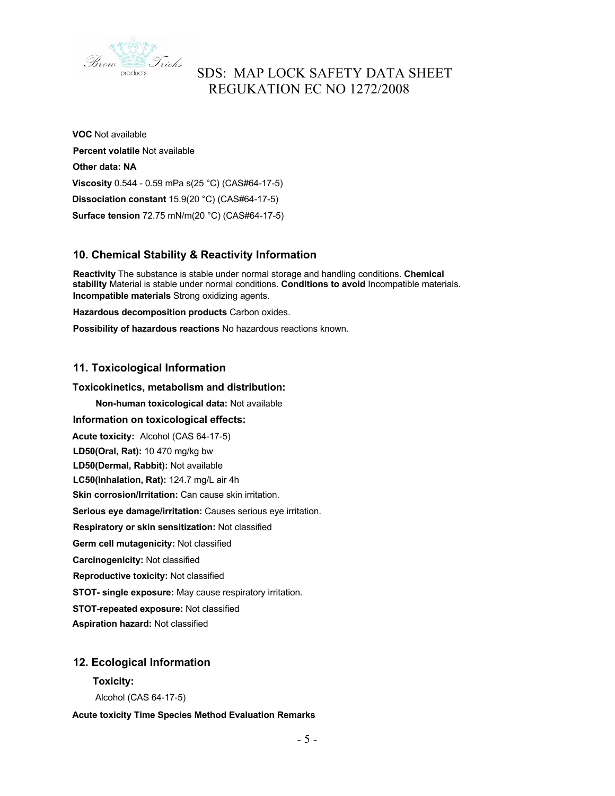

**VOC** Not available **Percent volatile** Not available **Other data: NA Viscosity** 0.544 - 0.59 mPa s(25 °C) (CAS#64-17-5) **Dissociation constant** 15.9(20 °C) (CAS#64-17-5) **Surface tension** 72.75 mN/m(20 °C) (CAS#64-17-5)

## **10. Chemical Stability & Reactivity Information**

**Reactivity** The substance is stable under normal storage and handling conditions. **Chemical stability** Material is stable under normal conditions. **Conditions to avoid** Incompatible materials. **Incompatible materials** Strong oxidizing agents.

**Hazardous decomposition products** Carbon oxides.

**Possibility of hazardous reactions** No hazardous reactions known.

## **11. Toxicological Information**

### **Toxicokinetics, metabolism and distribution:**

**Non-human toxicological data:** Not available

**Information on toxicological effects: Acute toxicity:** Alcohol (CAS 64-17-5) **LD50(Oral, Rat):** 10 470 mg/kg bw **LD50(Dermal, Rabbit):** Not available **LC50(Inhalation, Rat):** 124.7 mg/L air 4h **Skin corrosion/Irritation:** Can cause skin irritation. **Serious eye damage/irritation:** Causes serious eye irritation. **Respiratory or skin sensitization:** Not classified **Germ cell mutagenicity:** Not classified **Carcinogenicity:** Not classified **Reproductive toxicity:** Not classified **STOT- single exposure:** May cause respiratory irritation. **STOT-repeated exposure:** Not classified **Aspiration hazard:** Not classified

## **12. Ecological Information**

# **Toxicity:**

Alcohol (CAS 64-17-5)

#### **Acute toxicity Time Species Method Evaluation Remarks**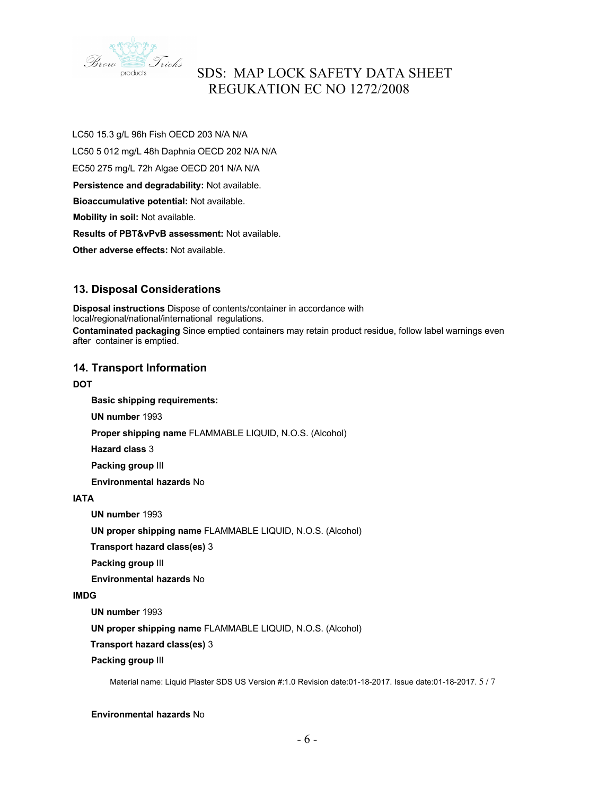

LC50 15.3 g/L 96h Fish OECD 203 N/A N/A LC50 5 012 mg/L 48h Daphnia OECD 202 N/A N/A EC50 275 mg/L 72h Algae OECD 201 N/A N/A **Persistence and degradability:** Not available. **Bioaccumulative potential:** Not available. **Mobility in soil:** Not available. **Results of PBT&vPvB assessment:** Not available. **Other adverse effects:** Not available.

## **13. Disposal Considerations**

**Disposal instructions** Dispose of contents/container in accordance with local/regional/national/international regulations. **Contaminated packaging** Since emptied containers may retain product residue, follow label warnings even after container is emptied.

## **14. Transport Information**

### **DOT**

**Basic shipping requirements:**

**UN number** 1993

**Proper shipping name** FLAMMABLE LIQUID, N.O.S. (Alcohol)

**Hazard class** 3

**Packing group** III

**Environmental hazards** No

## **IATA**

**UN number** 1993

**UN proper shipping name** FLAMMABLE LIQUID, N.O.S. (Alcohol)

**Transport hazard class(es)** 3

**Packing group** III

**Environmental hazards** No

#### **IMDG**

**UN number** 1993

**UN proper shipping name** FLAMMABLE LIQUID, N.O.S. (Alcohol)

**Transport hazard class(es)** 3

**Packing group** III

Material name: Liquid Plaster SDS US Version #:1.0 Revision date:01-18-2017. Issue date:01-18-2017. 5 / 7

#### **Environmental hazards** No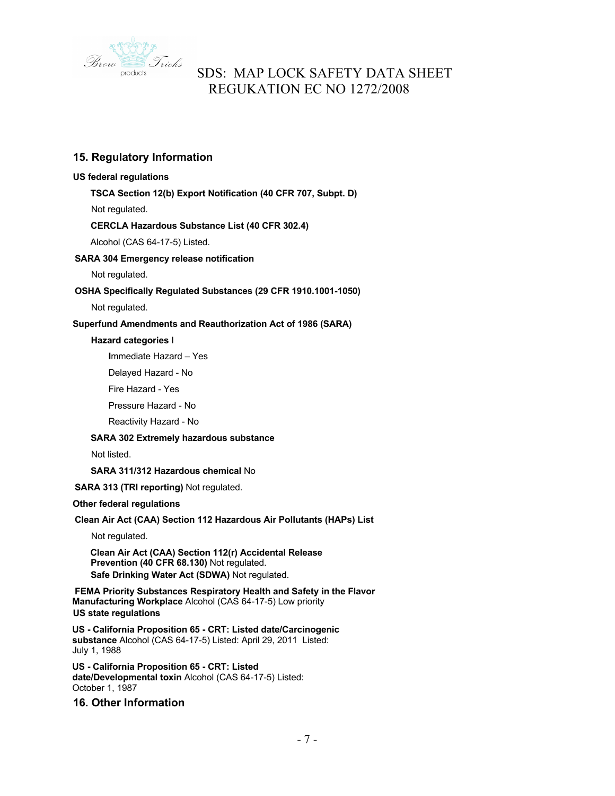

## **15. Regulatory Information**

### **US federal regulations**

**TSCA Section 12(b) Export Notification (40 CFR 707, Subpt. D)**

Not regulated.

## **CERCLA Hazardous Substance List (40 CFR 302.4)**

Alcohol (CAS 64-17-5) Listed.

### **SARA 304 Emergency release notification**

Not regulated.

## **OSHA Specifically Regulated Substances (29 CFR 1910.1001-1050)**

Not regulated.

### **Superfund Amendments and Reauthorization Act of 1986 (SARA)**

#### **Hazard categories** I

**I**mmediate Hazard – Yes

Delayed Hazard - No

Fire Hazard - Yes

Pressure Hazard - No

Reactivity Hazard - No

#### **SARA 302 Extremely hazardous substance**

Not listed.

### **SARA 311/312 Hazardous chemical** No

**SARA 313 (TRI reporting)** Not regulated.

#### **Other federal regulations**

## **Clean Air Act (CAA) Section 112 Hazardous Air Pollutants (HAPs) List**

Not regulated.

**Clean Air Act (CAA) Section 112(r) Accidental Release Prevention (40 CFR 68.130)** Not regulated. **Safe Drinking Water Act (SDWA)** Not regulated.

**FEMA Priority Substances Respiratory Health and Safety in the Flavor Manufacturing Workplace** Alcohol (CAS 64-17-5) Low priority **US state regulations**

**US - California Proposition 65 - CRT: Listed date/Carcinogenic substance** Alcohol (CAS 64-17-5) Listed: April 29, 2011 Listed: July 1, 1988

**US - California Proposition 65 - CRT: Listed date/Developmental toxin** Alcohol (CAS 64-17-5) Listed: October 1, 1987

## **16. Other Information**